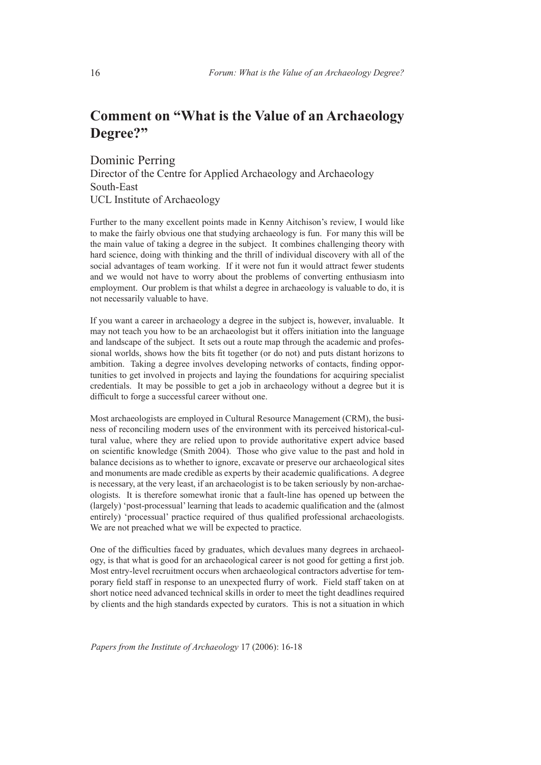## **Comment on "What is the Value of an Archaeology Degree?"**

Dominic Perring Director of the Centre for Applied Archaeology and Archaeology South-East UCL Institute of Archaeology

Further to the many excellent points made in Kenny Aitchison's review, I would like to make the fairly obvious one that studying archaeology is fun. For many this will be the main value of taking a degree in the subject. It combines challenging theory with hard science, doing with thinking and the thrill of individual discovery with all of the social advantages of team working. If it were not fun it would attract fewer students and we would not have to worry about the problems of converting enthusiasm into employment. Our problem is that whilst a degree in archaeology is valuable to do, it is not necessarily valuable to have.

If you want a career in archaeology a degree in the subject is, however, invaluable. It may not teach you how to be an archaeologist but it offers initiation into the language and landscape of the subject. It sets out a route map through the academic and professional worlds, shows how the bits fit together (or do not) and puts distant horizons to ambition. Taking a degree involves developing networks of contacts, finding opportunities to get involved in projects and laying the foundations for acquiring specialist credentials. It may be possible to get a job in archaeology without a degree but it is difficult to forge a successful career without one.

Most archaeologists are employed in Cultural Resource Management (CRM), the business of reconciling modern uses of the environment with its perceived historical-cultural value, where they are relied upon to provide authoritative expert advice based on scientific knowledge (Smith 2004). Those who give value to the past and hold in balance decisions as to whether to ignore, excavate or preserve our archaeological sites and monuments are made credible as experts by their academic qualifications. A degree is necessary, at the very least, if an archaeologist is to be taken seriously by non-archaeologists. It is therefore somewhat ironic that a fault-line has opened up between the (largely) 'post-processual' learning that leads to academic qualification and the (almost entirely) 'processual' practice required of thus qualified professional archaeologists. We are not preached what we will be expected to practice.

One of the difficulties faced by graduates, which devalues many degrees in archaeology, is that what is good for an archaeological career is not good for getting a first job. Most entry-level recruitment occurs when archaeological contractors advertise for temporary field staff in response to an unexpected flurry of work. Field staff taken on at short notice need advanced technical skills in order to meet the tight deadlines required by clients and the high standards expected by curators. This is not a situation in which

*Papers from the Institute of Archaeology* 17 (2006): 16-18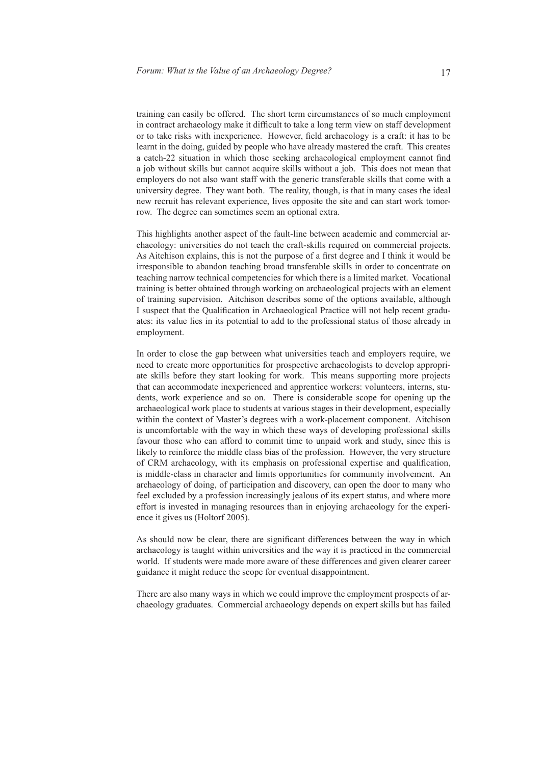training can easily be offered. The short term circumstances of so much employment in contract archaeology make it difficult to take a long term view on staff development or to take risks with inexperience. However, field archaeology is a craft: it has to be learnt in the doing, guided by people who have already mastered the craft. This creates a catch-22 situation in which those seeking archaeological employment cannot find a job without skills but cannot acquire skills without a job. This does not mean that employers do not also want staff with the generic transferable skills that come with a university degree. They want both. The reality, though, is that in many cases the ideal new recruit has relevant experience, lives opposite the site and can start work tomorrow. The degree can sometimes seem an optional extra.

This highlights another aspect of the fault-line between academic and commercial archaeology: universities do not teach the craft-skills required on commercial projects. As Aitchison explains, this is not the purpose of a first degree and I think it would be irresponsible to abandon teaching broad transferable skills in order to concentrate on teaching narrow technical competencies for which there is a limited market. Vocational training is better obtained through working on archaeological projects with an element of training supervision. Aitchison describes some of the options available, although I suspect that the Qualification in Archaeological Practice will not help recent graduates: its value lies in its potential to add to the professional status of those already in employment.

In order to close the gap between what universities teach and employers require, we need to create more opportunities for prospective archaeologists to develop appropriate skills before they start looking for work. This means supporting more projects that can accommodate inexperienced and apprentice workers: volunteers, interns, students, work experience and so on. There is considerable scope for opening up the archaeological work place to students at various stages in their development, especially within the context of Master's degrees with a work-placement component. Aitchison is uncomfortable with the way in which these ways of developing professional skills favour those who can afford to commit time to unpaid work and study, since this is likely to reinforce the middle class bias of the profession. However, the very structure of CRM archaeology, with its emphasis on professional expertise and qualification, is middle-class in character and limits opportunities for community involvement. An archaeology of doing, of participation and discovery, can open the door to many who feel excluded by a profession increasingly jealous of its expert status, and where more effort is invested in managing resources than in enjoying archaeology for the experience it gives us (Holtorf 2005).

As should now be clear, there are significant differences between the way in which archaeology is taught within universities and the way it is practiced in the commercial world. If students were made more aware of these differences and given clearer career guidance it might reduce the scope for eventual disappointment.

There are also many ways in which we could improve the employment prospects of archaeology graduates. Commercial archaeology depends on expert skills but has failed